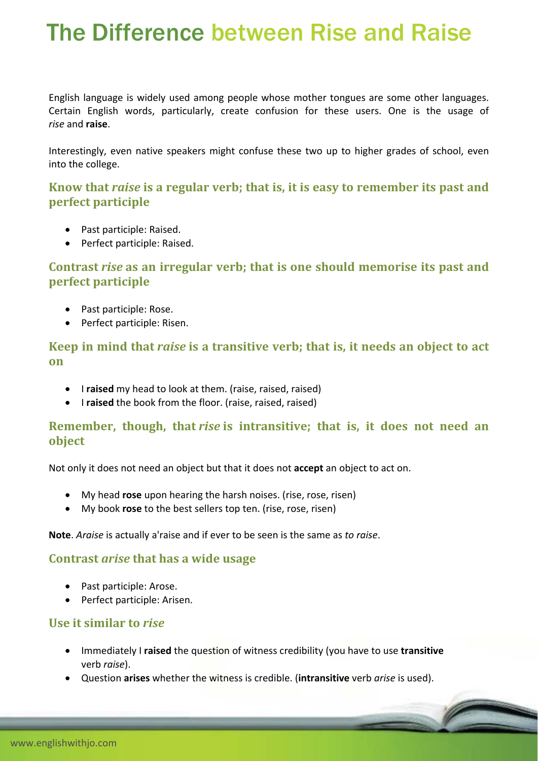# The Difference between Rise and Raise

English language is widely used among people whose mother tongues are some other languages. Certain English words, particularly, create confusion for these users. One is the usage of *rise* and **raise**.

Interestingly, even native speakers might confuse these two up to higher grades of school, even into the college.

**Know that** *raise* **is a regular verb; that is, it is easy to remember its past and perfect participle**

- Past participle: Raised.
- Perfect participle: Raised.

# **Contrast** *rise* **as an irregular verb; that is one should memorise its past and perfect participle**

- Past participle: Rose.
- Perfect participle: Risen.

## **Keep in mind that** *raise* **is a transitive verb; that is, it needs an object to act on**

- **•** I raised my head to look at them. (raise, raised, raised)
- **•** I **raised** the book from the floor. (raise, raised, raised)

### **Remember, though, that** *rise* **is intransitive; that is, it does not need an object**

Not only it does not need an object but that it does not **accept** an object to act on.

- My head **rose** upon hearing the harsh noises. (rise, rose, risen)
- My book **rose** to the best sellers top ten. (rise, rose, risen)

**Note**. *Araise* is actually a'raise and if ever to be seen is the same as *to raise*.

#### **Contrast** *arise* **that has a wide usage**

- Past participle: Arose.
- Perfect participle: Arisen.

#### **Use it similar to** *rise*

- Immediately I **raised** the question of witness credibility (you have to use **transitive** verb *raise*).
- Question **arises** whether the witness is credible. (**intransitive** verb *arise* is used).